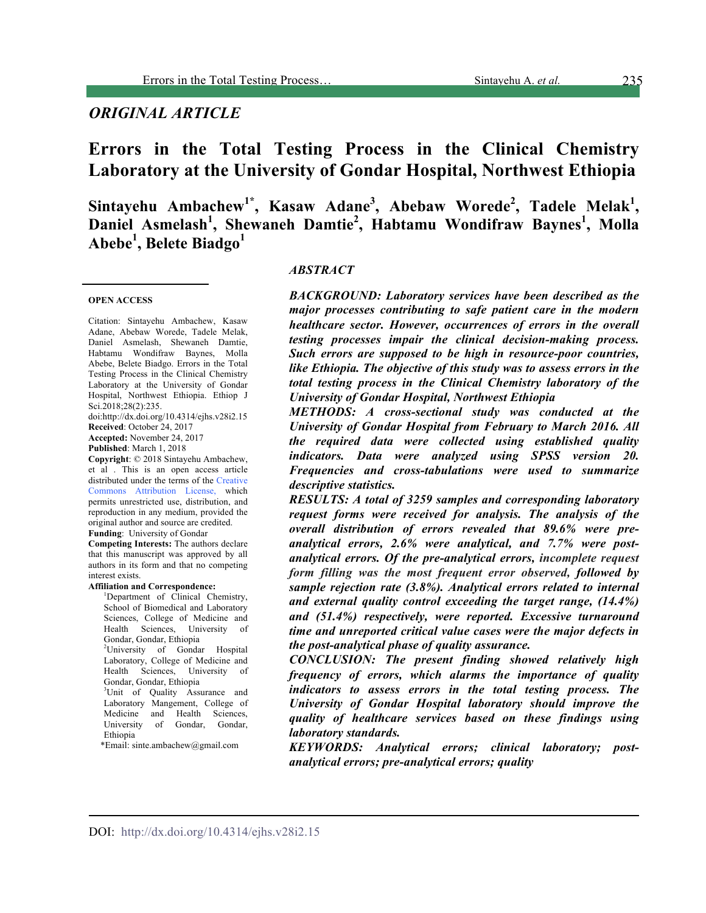# *ORIGINAL ARTICLE*

# **Errors in the Total Testing Process in the Clinical Chemistry Laboratory at the University of Gondar Hospital, Northwest Ethiopia**

Sintayehu Ambachew<sup>1\*</sup>, Kasaw Adane<sup>3</sup>, Abebaw Worede<sup>2</sup>, Tadele Melak<sup>1</sup>, **Daniel Asmelash<sup>1</sup> , Shewaneh Damtie 2 , Habtamu Wondifraw Baynes<sup>1</sup> , Molla Abebe<sup>1</sup> , Belete Biadgo<sup>1</sup>**

#### **OPEN ACCESS**

Citation: Sintayehu Ambachew, Kasaw Adane, Abebaw Worede, Tadele Melak, Daniel Asmelash, Shewaneh Damtie, Habtamu Wondifraw Baynes, Molla Abebe, Belete Biadgo. Errors in the Total Testing Process in the Clinical Chemistry Laboratory at the University of Gondar Hospital, Northwest Ethiopia. Ethiop J Sci.2018;28(2):235.

doi:http://dx.doi.org/10.4314/ejhs.v28i2.15 **Received**: October 24, 2017

**Accepted:** November 24, 2017 **Published**: March 1, 2018

**Copyright**: © 2018 Sintayehu Ambachew, et al . This is an open access article distributed under the terms of the Creative Commons Attribution License, which permits unrestricted use, distribution, and reproduction in any medium, provided the original author and source are credited.

**Funding**: University of Gondar **Competing Interests:** The authors declare that this manuscript was approved by all authors in its form and that no competing interest exists.

#### **Affiliation and Correspondence:**

<sup>1</sup>Department of Clinical Chemistry, School of Biomedical and Laboratory Sciences, College of Medicine and Health Sciences, University of Gondar, Gondar, Ethiopia <sup>2</sup>University of Gondar Hospital Laboratory, College of Medicine and Health Sciences, University of Gondar, Gondar, Ethiopia <sup>3</sup>Unit of Quality Assurance and Laboratory Mangement, College of Medicine and Health Sciences, University of Gondar, Gondar, **Ethiopia** 

\*Email: sinte.ambachew@gmail.com

#### *ABSTRACT*

*BACKGROUND: Laboratory services have been described as the major processes contributing to safe patient care in the modern healthcare sector. However, occurrences of errors in the overall testing processes impair the clinical decision-making process. Such errors are supposed to be high in resource-poor countries, like Ethiopia. The objective of this study was to assess errors in the total testing process in the Clinical Chemistry laboratory of the University of Gondar Hospital, Northwest Ethiopia*

*METHODS: A cross-sectional study was conducted at the University of Gondar Hospital from February to March 2016. All the required data were collected using established quality indicators. Data were analyzed using SPSS version 20. Frequencies and cross-tabulations were used to summarize descriptive statistics.*

*RESULTS: A total of 3259 samples and corresponding laboratory request forms were received for analysis. The analysis of the overall distribution of errors revealed that 89.6% were preanalytical errors, 2.6% were analytical, and 7.7% were postanalytical errors. Of the pre-analytical errors, incomplete request form filling was the most frequent error observed, followed by sample rejection rate (3.8%). Analytical errors related to internal and external quality control exceeding the target range, (14.4%) and (51.4%) respectively, were reported. Excessive turnaround time and unreported critical value cases were the major defects in the post-analytical phase of quality assurance.*

*CONCLUSION: The present finding showed relatively high frequency of errors, which alarms the importance of quality indicators to assess errors in the total testing process. The University of Gondar Hospital laboratory should improve the quality of healthcare services based on these findings using laboratory standards.*

*KEYWORDS: Analytical errors; clinical laboratory; postanalytical errors; pre-analytical errors; quality*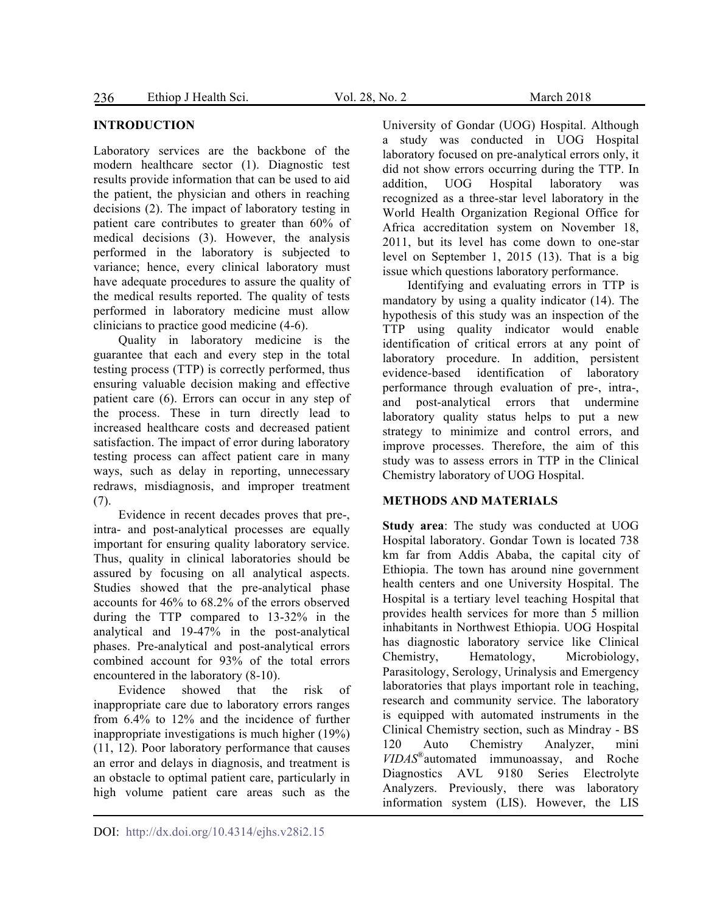### **INTRODUCTION**

Laboratory services are the backbone of the modern healthcare sector (1). Diagnostic test results provide information that can be used to aid the patient, the physician and others in reaching decisions (2). The impact of laboratory testing in patient care contributes to greater than 60% of medical decisions (3). However, the analysis performed in the laboratory is subjected to variance; hence, every clinical laboratory must have adequate procedures to assure the quality of the medical results reported. The quality of tests performed in laboratory medicine must allow clinicians to practice good medicine (4-6).

Quality in laboratory medicine is the guarantee that each and every step in the total testing process (TTP) is correctly performed, thus ensuring valuable decision making and effective patient care (6). Errors can occur in any step of the process. These in turn directly lead to increased healthcare costs and decreased patient satisfaction. The impact of error during laboratory testing process can affect patient care in many ways, such as delay in reporting, unnecessary redraws, misdiagnosis, and improper treatment (7).

Evidence in recent decades proves that pre-, intra- and post-analytical processes are equally important for ensuring quality laboratory service. Thus, quality in clinical laboratories should be assured by focusing on all analytical aspects. Studies showed that the pre-analytical phase accounts for 46% to 68.2% of the errors observed during the TTP compared to 13-32% in the analytical and 19-47% in the post-analytical phases. Pre-analytical and post-analytical errors combined account for 93% of the total errors encountered in the laboratory (8-10).

Evidence showed that the risk of inappropriate care due to laboratory errors ranges from 6.4% to 12% and the incidence of further inappropriate investigations is much higher (19%) (11, 12). Poor laboratory performance that causes an error and delays in diagnosis, and treatment is an obstacle to optimal patient care, particularly in high volume patient care areas such as the

University of Gondar (UOG) Hospital. Although a study was conducted in UOG Hospital laboratory focused on pre-analytical errors only, it did not show errors occurring during the TTP. In addition, UOG Hospital laboratory was recognized as a three-star level laboratory in the World Health Organization Regional Office for Africa accreditation system on November 18, 2011, but its level has come down to one-star level on September 1, 2015 (13). That is a big issue which questions laboratory performance.

Identifying and evaluating errors in TTP is mandatory by using a quality indicator (14). The hypothesis of this study was an inspection of the TTP using quality indicator would enable identification of critical errors at any point of laboratory procedure. In addition, persistent evidence-based identification of laboratory performance through evaluation of pre-, intra-, and post-analytical errors that undermine laboratory quality status helps to put a new strategy to minimize and control errors, and improve processes. Therefore, the aim of this study was to assess errors in TTP in the Clinical Chemistry laboratory of UOG Hospital.

### **METHODS AND MATERIALS**

**Study area**: The study was conducted at UOG Hospital laboratory. Gondar Town is located 738 km far from Addis Ababa, the capital city of Ethiopia. The town has around nine government health centers and one University Hospital. The Hospital is a tertiary level teaching Hospital that provides health services for more than 5 million inhabitants in Northwest Ethiopia. UOG Hospital has diagnostic laboratory service like Clinical Chemistry, Hematology, Microbiology, Parasitology, Serology, Urinalysis and Emergency laboratories that plays important role in teaching, research and community service. The laboratory is equipped with automated instruments in the Clinical Chemistry section, such as Mindray - BS 120 Auto Chemistry Analyzer, mini *VIDAS*®automated immunoassay, and Roche Diagnostics AVL 9180 Series Electrolyte Analyzers. Previously, there was laboratory information system (LIS). However, the LIS

DOI: http://dx.doi.org/10.4314/ejhs.v28i2.15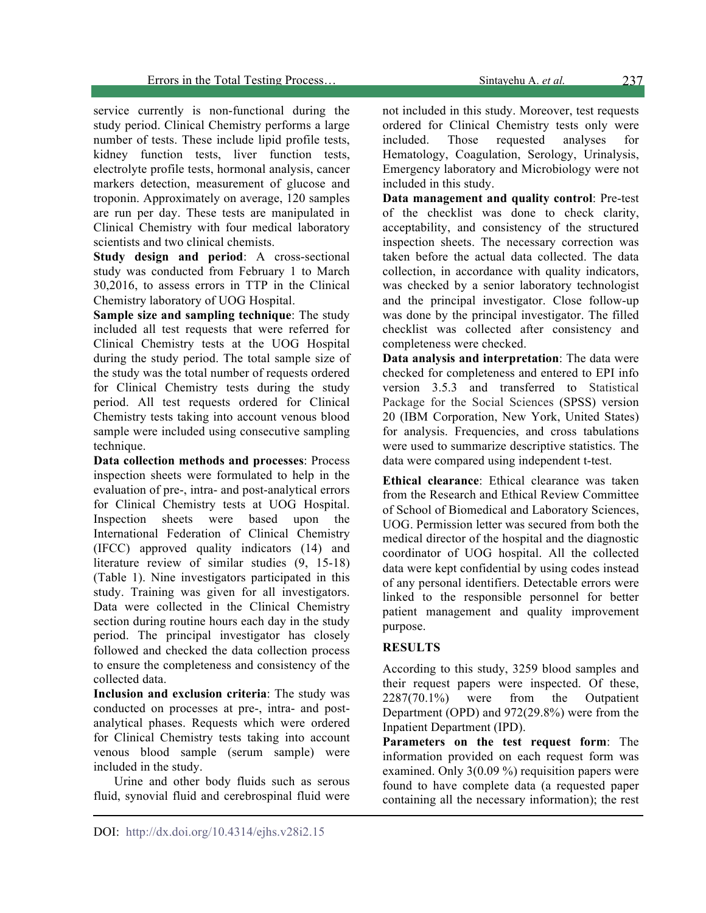service currently is non-functional during the study period. Clinical Chemistry performs a large number of tests. These include lipid profile tests, kidney function tests, liver function tests, electrolyte profile tests, hormonal analysis, cancer markers detection, measurement of glucose and troponin. Approximately on average, 120 samples are run per day. These tests are manipulated in Clinical Chemistry with four medical laboratory scientists and two clinical chemists.

**Study design and period**: A cross-sectional study was conducted from February 1 to March 30,2016, to assess errors in TTP in the Clinical Chemistry laboratory of UOG Hospital.

**Sample size and sampling technique**: The study included all test requests that were referred for Clinical Chemistry tests at the UOG Hospital during the study period. The total sample size of the study was the total number of requests ordered for Clinical Chemistry tests during the study period. All test requests ordered for Clinical Chemistry tests taking into account venous blood sample were included using consecutive sampling technique.

**Data collection methods and processes**: Process inspection sheets were formulated to help in the evaluation of pre-, intra- and post-analytical errors for Clinical Chemistry tests at UOG Hospital. Inspection sheets were based upon the International Federation of Clinical Chemistry (IFCC) approved quality indicators (14) and literature review of similar studies (9, 15-18) (Table 1). Nine investigators participated in this study. Training was given for all investigators. Data were collected in the Clinical Chemistry section during routine hours each day in the study period. The principal investigator has closely followed and checked the data collection process to ensure the completeness and consistency of the collected data.

**Inclusion and exclusion criteria**: The study was conducted on processes at pre-, intra- and postanalytical phases. Requests which were ordered for Clinical Chemistry tests taking into account venous blood sample (serum sample) were included in the study.

Urine and other body fluids such as serous fluid, synovial fluid and cerebrospinal fluid were

not included in this study. Moreover, test requests ordered for Clinical Chemistry tests only were included. Those requested analyses for Hematology, Coagulation, Serology, Urinalysis, Emergency laboratory and Microbiology were not included in this study.

**Data management and quality control**: Pre-test of the checklist was done to check clarity, acceptability, and consistency of the structured inspection sheets. The necessary correction was taken before the actual data collected. The data collection, in accordance with quality indicators, was checked by a senior laboratory technologist and the principal investigator. Close follow-up was done by the principal investigator. The filled checklist was collected after consistency and completeness were checked.

**Data analysis and interpretation**: The data were checked for completeness and entered to EPI info version 3.5.3 and transferred to Statistical Package for the Social Sciences (SPSS) version 20 (IBM Corporation, New York, United States) for analysis. Frequencies, and cross tabulations were used to summarize descriptive statistics. The data were compared using independent t-test.

**Ethical clearance**: Ethical clearance was taken from the Research and Ethical Review Committee of School of Biomedical and Laboratory Sciences, UOG. Permission letter was secured from both the medical director of the hospital and the diagnostic coordinator of UOG hospital. All the collected data were kept confidential by using codes instead of any personal identifiers. Detectable errors were linked to the responsible personnel for better patient management and quality improvement purpose.

## **RESULTS**

According to this study, 3259 blood samples and their request papers were inspected. Of these, 2287(70.1%) were from the Outpatient Department (OPD) and 972(29.8%) were from the Inpatient Department (IPD).

**Parameters on the test request form**: The information provided on each request form was examined. Only 3(0.09 %) requisition papers were found to have complete data (a requested paper containing all the necessary information); the rest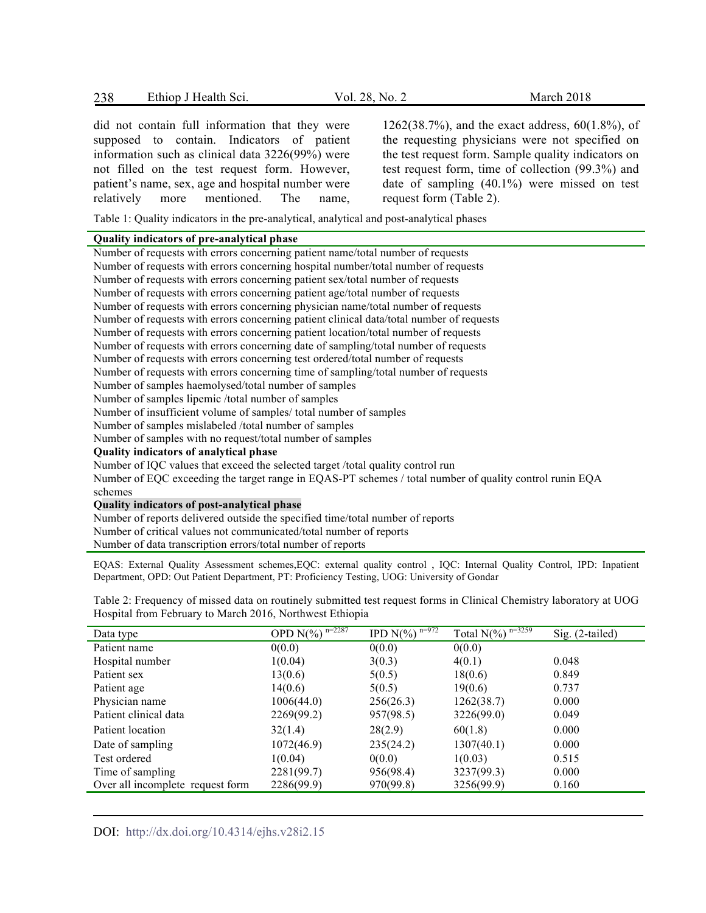Ethiop J Health Sci. Vol. 28, No. 2 March 2018 238

did not contain full information that they were supposed to contain. Indicators of patient information such as clinical data 3226(99%) were not filled on the test request form. However, patient's name, sex, age and hospital number were relatively more mentioned. The name,

1262(38.7%), and the exact address, 60(1.8%), of the requesting physicians were not specified on the test request form. Sample quality indicators on test request form, time of collection (99.3%) and date of sampling (40.1%) were missed on test request form (Table 2).

Table 1: Quality indicators in the pre-analytical, analytical and post-analytical phases

#### **Quality indicators of pre-analytical phase**

Number of requests with errors concerning patient name/total number of requests Number of requests with errors concerning hospital number/total number of requests Number of requests with errors concerning patient sex/total number of requests Number of requests with errors concerning patient age/total number of requests Number of requests with errors concerning physician name/total number of requests Number of requests with errors concerning patient clinical data/total number of requests Number of requests with errors concerning patient location/total number of requests Number of requests with errors concerning date of sampling/total number of requests Number of requests with errors concerning test ordered/total number of requests Number of requests with errors concerning time of sampling/total number of requests Number of samples haemolysed/total number of samples Number of samples lipemic /total number of samples Number of insufficient volume of samples/ total number of samples Number of samples mislabeled /total number of samples Number of samples with no request/total number of samples **Quality indicators of analytical phase**  Number of IQC values that exceed the selected target /total quality control run Number of EQC exceeding the target range in EQAS-PT schemes / total number of quality control runin EQA schemes **Quality indicators of post-analytical phase**  Number of reports delivered outside the specified time/total number of reports

Number of critical values not communicated/total number of reports

Number of data transcription errors/total number of reports

EQAS: External Quality Assessment schemes,EQC: external quality control , IQC: Internal Quality Control, IPD: Inpatient Department, OPD: Out Patient Department, PT: Proficiency Testing, UOG: University of Gondar

Table 2: Frequency of missed data on routinely submitted test request forms in Clinical Chemistry laboratory at UOG Hospital from February to March 2016, Northwest Ethiopia

| Data type                        | OPD $N(\frac{9}{6})^{n=2287}$ | IPD $N(\overline{\frac{9}{6}})^{n=972}$ | Total $\overline{N(\%)}^{n=3259}$ | $Sig. (2-tailed)$ |
|----------------------------------|-------------------------------|-----------------------------------------|-----------------------------------|-------------------|
| Patient name                     | 0(0.0)                        | 0(0.0)                                  | 0(0.0)                            |                   |
| Hospital number                  | 1(0.04)                       | 3(0.3)                                  | 4(0.1)                            | 0.048             |
| Patient sex                      | 13(0.6)                       | 5(0.5)                                  | 18(0.6)                           | 0.849             |
| Patient age                      | 14(0.6)                       | 5(0.5)                                  | 19(0.6)                           | 0.737             |
| Physician name                   | 1006(44.0)                    | 256(26.3)                               | 1262(38.7)                        | 0.000             |
| Patient clinical data            | 2269(99.2)                    | 957(98.5)                               | 3226(99.0)                        | 0.049             |
| Patient location                 | 32(1.4)                       | 28(2.9)                                 | 60(1.8)                           | 0.000             |
| Date of sampling                 | 1072(46.9)                    | 235(24.2)                               | 1307(40.1)                        | 0.000             |
| Test ordered                     | 1(0.04)                       | 0(0.0)                                  | 1(0.03)                           | 0.515             |
| Time of sampling                 | 2281(99.7)                    | 956(98.4)                               | 3237(99.3)                        | 0.000             |
| Over all incomplete request form | 2286(99.9)                    | 970(99.8)                               | 3256(99.9)                        | 0.160             |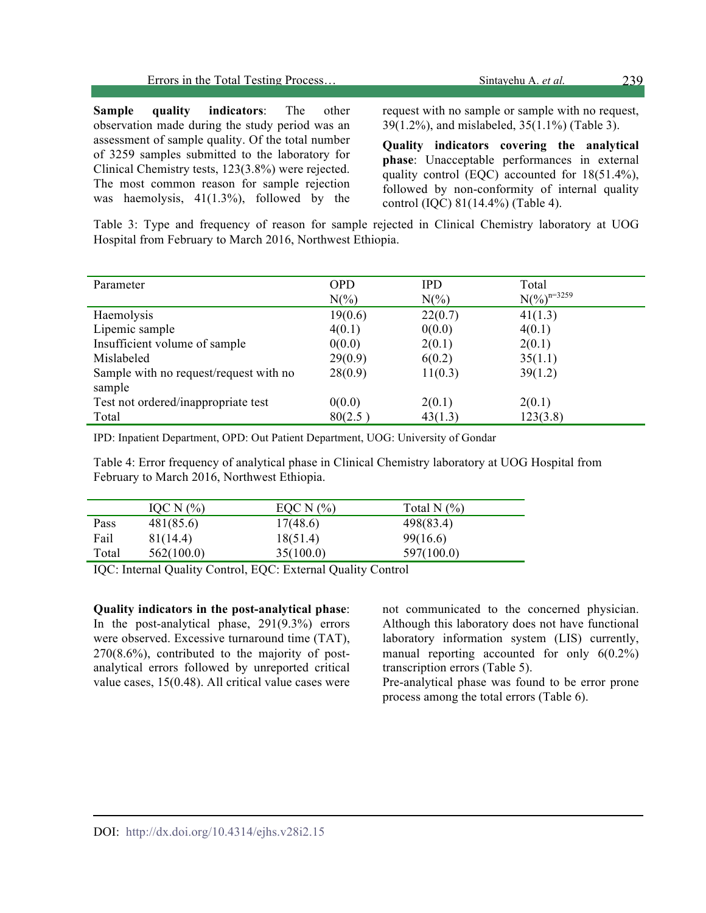| Errors in the Total Testing Process | Sintavehu A. <i>et al.</i> | 239 |
|-------------------------------------|----------------------------|-----|
|                                     |                            |     |

**Sample quality indicators**: The other observation made during the study period was an assessment of sample quality. Of the total number of 3259 samples submitted to the laboratory for Clinical Chemistry tests, 123(3.8%) were rejected. The most common reason for sample rejection was haemolysis,  $41(1.3\%)$ , followed by the

request with no sample or sample with no request, 39(1.2%), and mislabeled, 35(1.1%) (Table 3).

**Quality indicators covering the analytical phase**: Unacceptable performances in external quality control (EQC) accounted for 18(51.4%), followed by non-conformity of internal quality control (IQC) 81(14.4%) (Table 4).

Table 3: Type and frequency of reason for sample rejected in Clinical Chemistry laboratory at UOG Hospital from February to March 2016, Northwest Ethiopia.

| Parameter                              | <b>OPD</b> | <b>IPD</b>      | Total                     |
|----------------------------------------|------------|-----------------|---------------------------|
|                                        | $N(\%)$    | $N\binom{0}{0}$ | $N(\frac{9}{6})^{n=3259}$ |
| Haemolysis                             | 19(0.6)    | 22(0.7)         | 41(1.3)                   |
| Lipemic sample                         | 4(0.1)     | 0(0.0)          | 4(0.1)                    |
| Insufficient volume of sample          | 0(0.0)     | 2(0.1)          | 2(0.1)                    |
| Mislabeled                             | 29(0.9)    | 6(0.2)          | 35(1.1)                   |
| Sample with no request/request with no | 28(0.9)    | 11(0.3)         | 39(1.2)                   |
| sample                                 |            |                 |                           |
| Test not ordered/inappropriate test    | 0(0.0)     | 2(0.1)          | 2(0.1)                    |
| Total                                  | 80(2.5)    | 43(1.3)         | 123(3.8)                  |

IPD: Inpatient Department, OPD: Out Patient Department, UOG: University of Gondar

Table 4: Error frequency of analytical phase in Clinical Chemistry laboratory at UOG Hospital from February to March 2016, Northwest Ethiopia.

|       | IOC N $(%$ | EOC N $(%$ | Total N $(\%)$ |  |
|-------|------------|------------|----------------|--|
| Pass  | 481(85.6)  | 17(48.6)   | 498(83.4)      |  |
| Fail  | 81(14.4)   | 18(51.4)   | 99(16.6)       |  |
| Total | 562(100.0) | 35(100.0)  | 597(100.0)     |  |

IQC: Internal Quality Control, EQC: External Quality Control

**Quality indicators in the post-analytical phase**: In the post-analytical phase, 291(9.3%) errors were observed. Excessive turnaround time (TAT), 270(8.6%), contributed to the majority of postanalytical errors followed by unreported critical value cases, 15(0.48). All critical value cases were

not communicated to the concerned physician. Although this laboratory does not have functional laboratory information system (LIS) currently, manual reporting accounted for only 6(0.2%) transcription errors (Table 5).

Pre-analytical phase was found to be error prone process among the total errors (Table 6).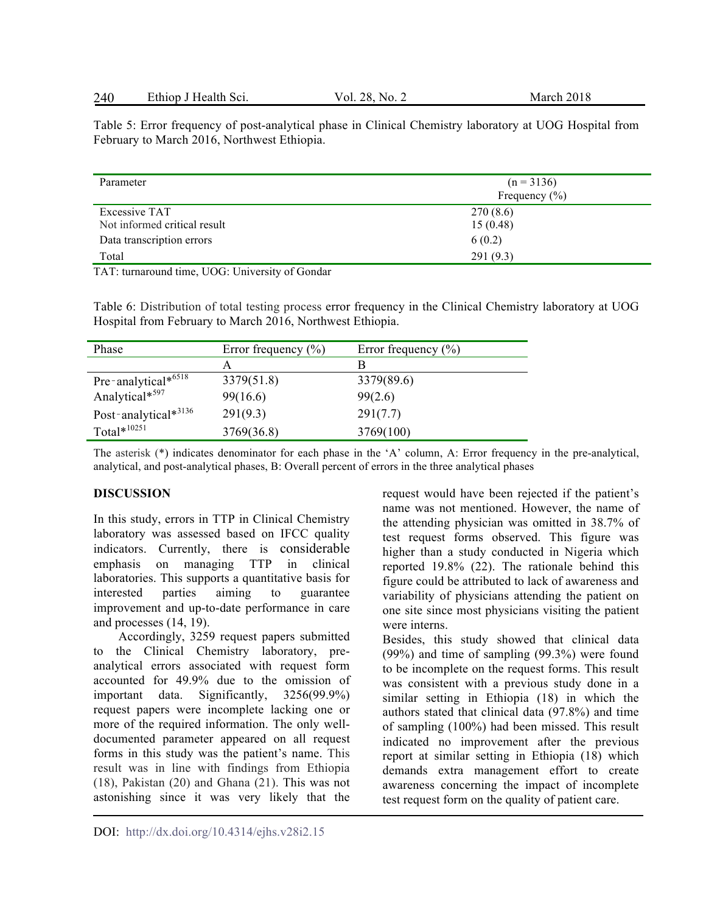| 240 | Ethiop J Health Sci. | Vol. 28.<br>No. 2 | March 2018 |
|-----|----------------------|-------------------|------------|
|-----|----------------------|-------------------|------------|

Table 5: Error frequency of post-analytical phase in Clinical Chemistry laboratory at UOG Hospital from February to March 2016, Northwest Ethiopia.

| Parameter                                     | $(n = 3136)$<br>Frequency $(\% )$ |
|-----------------------------------------------|-----------------------------------|
| Excessive TAT<br>Not informed critical result | 270(8.6)<br>15(0.48)              |
| Data transcription errors                     | 6(0.2)                            |
| Total                                         | 291(9.3)                          |

TAT: turnaround time, UOG: University of Gondar

Table 6: Distribution of total testing process error frequency in the Clinical Chemistry laboratory at UOG Hospital from February to March 2016, Northwest Ethiopia.

| Phase                      | Error frequency $(\% )$ | Error frequency $(\% )$ |
|----------------------------|-------------------------|-------------------------|
|                            | A                       | в                       |
| Pre-analytical* $6518$     | 3379(51.8)              | 3379(89.6)              |
| Analytical*597             | 99(16.6)                | 99(2.6)                 |
| Post-analytical $*^{3136}$ | 291(9.3)                | 291(7.7)                |
| Total $*$ <sup>10251</sup> | 3769(36.8)              | 3769(100)               |

The asterisk (\*) indicates denominator for each phase in the 'A' column, A: Error frequency in the pre-analytical, analytical, and post-analytical phases, B: Overall percent of errors in the three analytical phases

### **DISCUSSION**

In this study, errors in TTP in Clinical Chemistry laboratory was assessed based on IFCC quality indicators. Currently, there is considerable emphasis on managing TTP in clinical laboratories. This supports a quantitative basis for interested parties aiming to guarantee improvement and up-to-date performance in care and processes (14, 19).

Accordingly, 3259 request papers submitted to the Clinical Chemistry laboratory, preanalytical errors associated with request form accounted for 49.9% due to the omission of important data. Significantly, 3256(99.9%) request papers were incomplete lacking one or more of the required information. The only welldocumented parameter appeared on all request forms in this study was the patient's name. This result was in line with findings from Ethiopia (18), Pakistan (20) and Ghana (21). This was not astonishing since it was very likely that the

request would have been rejected if the patient's name was not mentioned. However, the name of the attending physician was omitted in 38.7% of test request forms observed. This figure was higher than a study conducted in Nigeria which reported 19.8% (22). The rationale behind this figure could be attributed to lack of awareness and variability of physicians attending the patient on one site since most physicians visiting the patient were interns.

Besides, this study showed that clinical data (99%) and time of sampling (99.3%) were found to be incomplete on the request forms. This result was consistent with a previous study done in a similar setting in Ethiopia (18) in which the authors stated that clinical data (97.8%) and time of sampling (100%) had been missed. This result indicated no improvement after the previous report at similar setting in Ethiopia (18) which demands extra management effort to create awareness concerning the impact of incomplete test request form on the quality of patient care.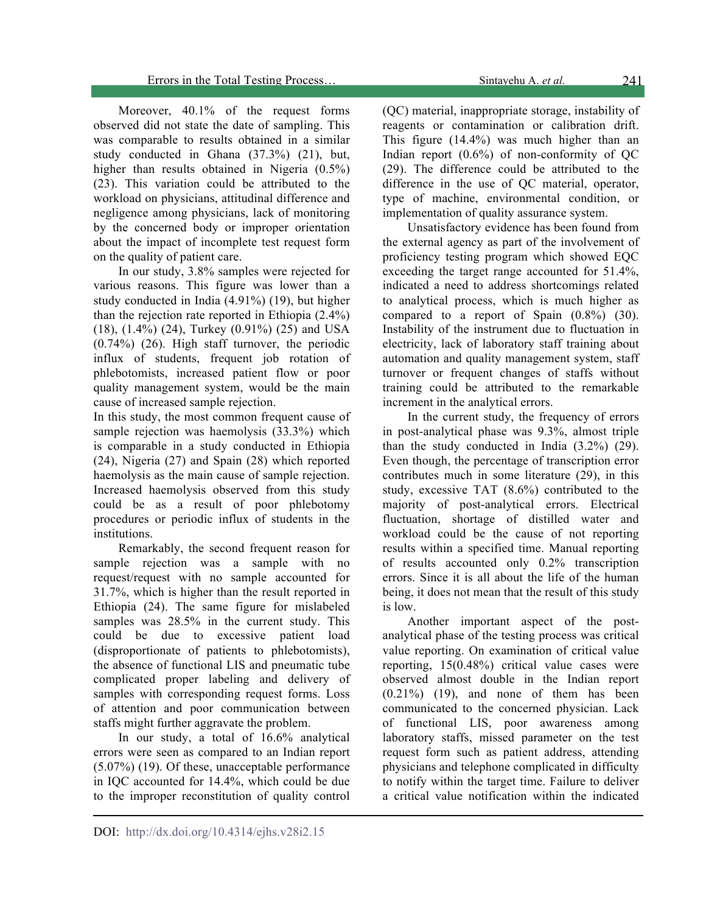Moreover, 40.1% of the request forms observed did not state the date of sampling. This was comparable to results obtained in a similar study conducted in Ghana (37.3%) (21), but, higher than results obtained in Nigeria (0.5%) (23). This variation could be attributed to the workload on physicians, attitudinal difference and negligence among physicians, lack of monitoring by the concerned body or improper orientation about the impact of incomplete test request form on the quality of patient care.

In our study, 3.8% samples were rejected for various reasons. This figure was lower than a study conducted in India (4.91%) (19), but higher than the rejection rate reported in Ethiopia (2.4%) (18), (1.4%) (24), Turkey (0.91%) (25) and USA (0.74%) (26). High staff turnover, the periodic influx of students, frequent job rotation of phlebotomists, increased patient flow or poor quality management system, would be the main cause of increased sample rejection.

In this study, the most common frequent cause of sample rejection was haemolysis (33.3%) which is comparable in a study conducted in Ethiopia (24), Nigeria (27) and Spain (28) which reported haemolysis as the main cause of sample rejection. Increased haemolysis observed from this study could be as a result of poor phlebotomy procedures or periodic influx of students in the institutions.

Remarkably, the second frequent reason for sample rejection was a sample with no request/request with no sample accounted for 31.7%, which is higher than the result reported in Ethiopia (24). The same figure for mislabeled samples was  $28.5\%$  in the current study. This could be due to excessive patient load (disproportionate of patients to phlebotomists), the absence of functional LIS and pneumatic tube complicated proper labeling and delivery of samples with corresponding request forms. Loss of attention and poor communication between staffs might further aggravate the problem.

In our study, a total of 16.6% analytical errors were seen as compared to an Indian report (5.07%) (19). Of these, unacceptable performance in IQC accounted for 14.4%, which could be due to the improper reconstitution of quality control

(QC) material, inappropriate storage, instability of reagents or contamination or calibration drift. This figure (14.4%) was much higher than an Indian report  $(0.6\%)$  of non-conformity of OC (29). The difference could be attributed to the difference in the use of QC material, operator, type of machine, environmental condition, or implementation of quality assurance system.

Unsatisfactory evidence has been found from the external agency as part of the involvement of proficiency testing program which showed EQC exceeding the target range accounted for 51.4%, indicated a need to address shortcomings related to analytical process, which is much higher as compared to a report of Spain (0.8%) (30). Instability of the instrument due to fluctuation in electricity, lack of laboratory staff training about automation and quality management system, staff turnover or frequent changes of staffs without training could be attributed to the remarkable increment in the analytical errors.

In the current study, the frequency of errors in post-analytical phase was 9.3%, almost triple than the study conducted in India (3.2%) (29). Even though, the percentage of transcription error contributes much in some literature (29), in this study, excessive TAT (8.6%) contributed to the majority of post-analytical errors. Electrical fluctuation, shortage of distilled water and workload could be the cause of not reporting results within a specified time. Manual reporting of results accounted only 0.2% transcription errors. Since it is all about the life of the human being, it does not mean that the result of this study is low.

Another important aspect of the postanalytical phase of the testing process was critical value reporting. On examination of critical value reporting, 15(0.48%) critical value cases were observed almost double in the Indian report  $(0.21\%)$   $(19)$ , and none of them has been communicated to the concerned physician. Lack of functional LIS, poor awareness among laboratory staffs, missed parameter on the test request form such as patient address, attending physicians and telephone complicated in difficulty to notify within the target time. Failure to deliver a critical value notification within the indicated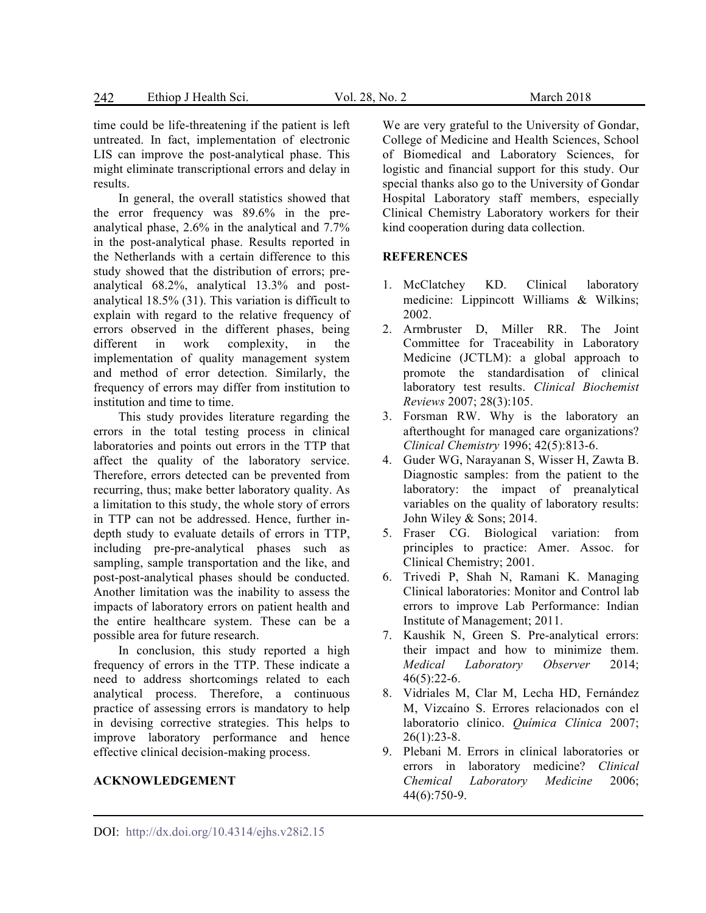time could be life-threatening if the patient is left untreated. In fact, implementation of electronic LIS can improve the post-analytical phase. This might eliminate transcriptional errors and delay in results.

In general, the overall statistics showed that the error frequency was 89.6% in the preanalytical phase, 2.6% in the analytical and 7.7% in the post-analytical phase. Results reported in the Netherlands with a certain difference to this study showed that the distribution of errors; preanalytical 68.2%, analytical 13.3% and postanalytical 18.5% (31). This variation is difficult to explain with regard to the relative frequency of errors observed in the different phases, being different in work complexity, in the implementation of quality management system and method of error detection. Similarly, the frequency of errors may differ from institution to institution and time to time.

This study provides literature regarding the errors in the total testing process in clinical laboratories and points out errors in the TTP that affect the quality of the laboratory service. Therefore, errors detected can be prevented from recurring, thus; make better laboratory quality. As a limitation to this study, the whole story of errors in TTP can not be addressed. Hence, further indepth study to evaluate details of errors in TTP, including pre-pre-analytical phases such as sampling, sample transportation and the like, and post-post-analytical phases should be conducted. Another limitation was the inability to assess the impacts of laboratory errors on patient health and the entire healthcare system. These can be a possible area for future research.

In conclusion, this study reported a high frequency of errors in the TTP. These indicate a need to address shortcomings related to each analytical process. Therefore, a continuous practice of assessing errors is mandatory to help in devising corrective strategies. This helps to improve laboratory performance and hence effective clinical decision-making process.

### **ACKNOWLEDGEMENT**

We are very grateful to the University of Gondar, College of Medicine and Health Sciences, School of Biomedical and Laboratory Sciences, for logistic and financial support for this study. Our special thanks also go to the University of Gondar Hospital Laboratory staff members, especially Clinical Chemistry Laboratory workers for their kind cooperation during data collection.

#### **REFERENCES**

- 1. McClatchey KD. Clinical laboratory medicine: Lippincott Williams & Wilkins; 2002.
- 2. Armbruster D, Miller RR. The Joint Committee for Traceability in Laboratory Medicine (JCTLM): a global approach to promote the standardisation of clinical laboratory test results. *Clinical Biochemist Reviews* 2007; 28(3):105.
- 3. Forsman RW. Why is the laboratory an afterthought for managed care organizations? *Clinical Chemistry* 1996; 42(5):813-6.
- 4. Guder WG, Narayanan S, Wisser H, Zawta B. Diagnostic samples: from the patient to the laboratory: the impact of preanalytical variables on the quality of laboratory results: John Wiley & Sons; 2014.
- 5. Fraser CG. Biological variation: from principles to practice: Amer. Assoc. for Clinical Chemistry; 2001.
- 6. Trivedi P, Shah N, Ramani K. Managing Clinical laboratories: Monitor and Control lab errors to improve Lab Performance: Indian Institute of Management; 2011.
- 7. Kaushik N, Green S. Pre-analytical errors: their impact and how to minimize them. *Medical Laboratory Observer* 2014;  $46(5):22-6.$
- 8. Vidriales M, Clar M, Lecha HD, Fernández M, Vizcaíno S. Errores relacionados con el laboratorio clínico. *Química Clínica* 2007; 26(1):23-8.
- 9. Plebani M. Errors in clinical laboratories or errors in laboratory medicine? *Clinical Chemical Laboratory Medicine* 2006; 44(6):750-9.

DOI: http://dx.doi.org/10.4314/ejhs.v28i2.15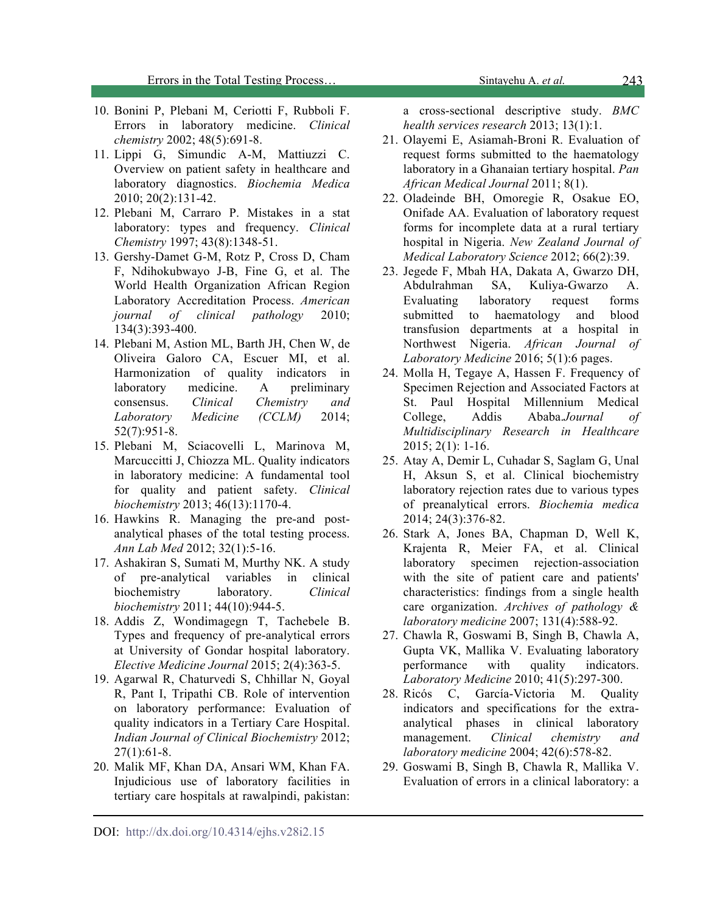Errors in the Total Testing Process… Sintayehu A. *et al.* 

- 10. Bonini P, Plebani M, Ceriotti F, Rubboli F. Errors in laboratory medicine. *Clinical chemistry* 2002; 48(5):691-8.
- 11. Lippi G, Simundic A-M, Mattiuzzi C. Overview on patient safety in healthcare and laboratory diagnostics. *Biochemia Medica* 2010; 20(2):131-42.
- 12. Plebani M, Carraro P. Mistakes in a stat laboratory: types and frequency. *Clinical Chemistry* 1997; 43(8):1348-51.
- 13. Gershy-Damet G-M, Rotz P, Cross D, Cham F, Ndihokubwayo J-B, Fine G, et al. The World Health Organization African Region Laboratory Accreditation Process. *American journal of clinical pathology* 2010; 134(3):393-400.
- 14. Plebani M, Astion ML, Barth JH, Chen W, de Oliveira Galoro CA, Escuer MI, et al. Harmonization of quality indicators in laboratory medicine. A preliminary consensus. *Clinical Chemistry and Laboratory Medicine (CCLM)* 2014; 52(7):951-8.
- 15. Plebani M, Sciacovelli L, Marinova M, Marcuccitti J, Chiozza ML. Quality indicators in laboratory medicine: A fundamental tool for quality and patient safety. *Clinical biochemistry* 2013; 46(13):1170-4.
- 16. Hawkins R. Managing the pre-and postanalytical phases of the total testing process. *Ann Lab Med* 2012; 32(1):5-16.
- 17. Ashakiran S, Sumati M, Murthy NK. A study of pre-analytical variables in clinical biochemistry laboratory. *Clinical biochemistry* 2011; 44(10):944-5.
- 18. Addis Z, Wondimagegn T, Tachebele B. Types and frequency of pre-analytical errors at University of Gondar hospital laboratory. *Elective Medicine Journal* 2015; 2(4):363-5.
- 19. Agarwal R, Chaturvedi S, Chhillar N, Goyal R, Pant I, Tripathi CB. Role of intervention on laboratory performance: Evaluation of quality indicators in a Tertiary Care Hospital. *Indian Journal of Clinical Biochemistry* 2012; 27(1):61-8.
- 20. Malik MF, Khan DA, Ansari WM, Khan FA. Injudicious use of laboratory facilities in tertiary care hospitals at rawalpindi, pakistan:

a cross-sectional descriptive study. *BMC health services research* 2013; 13(1):1.

- 21. Olayemi E, Asiamah-Broni R. Evaluation of request forms submitted to the haematology laboratory in a Ghanaian tertiary hospital. *Pan African Medical Journal* 2011; 8(1).
- 22. Oladeinde BH, Omoregie R, Osakue EO, Onifade AA. Evaluation of laboratory request forms for incomplete data at a rural tertiary hospital in Nigeria. *New Zealand Journal of Medical Laboratory Science* 2012; 66(2):39.
- 23. Jegede F, Mbah HA, Dakata A, Gwarzo DH, Abdulrahman SA, Kuliya-Gwarzo A. Evaluating laboratory request forms submitted to haematology and blood transfusion departments at a hospital in Northwest Nigeria. *African Journal of Laboratory Medicine* 2016; 5(1):6 pages.
- 24. Molla H, Tegaye A, Hassen F. Frequency of Specimen Rejection and Associated Factors at St. Paul Hospital Millennium Medical College, Addis Ababa.*Journal of Multidisciplinary Research in Healthcare* 2015; 2(1): 1-16.
- 25. Atay A, Demir L, Cuhadar S, Saglam G, Unal H, Aksun S, et al. Clinical biochemistry laboratory rejection rates due to various types of preanalytical errors. *Biochemia medica* 2014; 24(3):376-82.
- 26. Stark A, Jones BA, Chapman D, Well K, Krajenta R, Meier FA, et al. Clinical laboratory specimen rejection-association with the site of patient care and patients' characteristics: findings from a single health care organization. *Archives of pathology & laboratory medicine* 2007; 131(4):588-92.
- 27. Chawla R, Goswami B, Singh B, Chawla A, Gupta VK, Mallika V. Evaluating laboratory performance with quality indicators. *Laboratory Medicine* 2010; 41(5):297-300.
- 28. Ricós C, García-Victoria M. Quality indicators and specifications for the extraanalytical phases in clinical laboratory management. *Clinical chemistry and laboratory medicine* 2004; 42(6):578-82.
- 29. Goswami B, Singh B, Chawla R, Mallika V. Evaluation of errors in a clinical laboratory: a

243